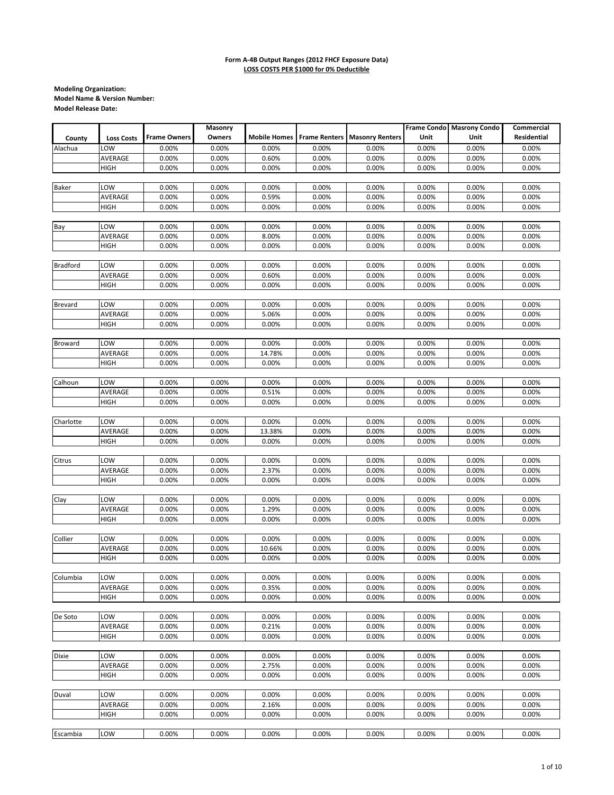|                 |                   |                     | Masonry        |                |                |                                                |                | Frame Condo Masrony Condo | Commercial     |
|-----------------|-------------------|---------------------|----------------|----------------|----------------|------------------------------------------------|----------------|---------------------------|----------------|
| County          | <b>Loss Costs</b> | <b>Frame Owners</b> | Owners         |                |                | Mobile Homes   Frame Renters   Masonry Renters | Unit           | Unit                      | Residential    |
| Alachua         | LOW               | 0.00%               | 0.00%          | 0.00%          | 0.00%          | 0.00%                                          | 0.00%          | 0.00%                     | 0.00%          |
|                 | AVERAGE           | 0.00%               | 0.00%          | 0.60%          | 0.00%          | 0.00%                                          | 0.00%          | 0.00%                     | 0.00%          |
|                 | <b>HIGH</b>       | 0.00%               | 0.00%          | 0.00%          | 0.00%          | 0.00%                                          | 0.00%          | 0.00%                     | 0.00%          |
|                 |                   |                     |                |                |                |                                                |                |                           |                |
| <b>Baker</b>    | LOW               | 0.00%               | 0.00%          | 0.00%          | 0.00%          | 0.00%                                          | 0.00%          | 0.00%                     | 0.00%          |
|                 | AVERAGE           | 0.00%               | 0.00%          | 0.59%          | 0.00%          | 0.00%                                          | 0.00%          | 0.00%                     | 0.00%          |
|                 | HIGH              | 0.00%               | 0.00%          | 0.00%          | 0.00%          | 0.00%                                          | 0.00%          | 0.00%                     | 0.00%          |
| Bay             | LOW               | 0.00%               | 0.00%          | 0.00%          | 0.00%          | 0.00%                                          | 0.00%          | 0.00%                     | 0.00%          |
|                 | AVERAGE           | 0.00%               | 0.00%          | 8.00%          | 0.00%          | 0.00%                                          | 0.00%          | 0.00%                     | 0.00%          |
|                 | <b>HIGH</b>       | 0.00%               | 0.00%          | 0.00%          | 0.00%          | 0.00%                                          | 0.00%          | 0.00%                     | 0.00%          |
|                 |                   |                     |                |                |                |                                                |                |                           |                |
| <b>Bradford</b> | LOW               | 0.00%               | 0.00%          | 0.00%          | 0.00%          | 0.00%                                          | 0.00%          | 0.00%                     | 0.00%          |
|                 | AVERAGE           | 0.00%               | 0.00%          | 0.60%          | 0.00%          | 0.00%                                          | 0.00%          | 0.00%                     | 0.00%          |
|                 | HIGH              | 0.00%               | 0.00%          | 0.00%          | 0.00%          | 0.00%                                          | 0.00%          | 0.00%                     | 0.00%          |
|                 |                   |                     |                |                |                |                                                |                |                           |                |
| <b>Brevard</b>  | LOW               | 0.00%               | 0.00%          | 0.00%          | 0.00%          | 0.00%                                          | 0.00%          | 0.00%                     | 0.00%          |
|                 | AVERAGE           | 0.00%<br>0.00%      | 0.00%          | 5.06%          | 0.00%<br>0.00% | 0.00%<br>0.00%                                 | 0.00%<br>0.00% | 0.00%<br>0.00%            | 0.00%          |
|                 | <b>HIGH</b>       |                     | 0.00%          | 0.00%          |                |                                                |                |                           | 0.00%          |
| Broward         | LOW               | 0.00%               | 0.00%          | 0.00%          | 0.00%          | 0.00%                                          | 0.00%          | 0.00%                     | 0.00%          |
|                 | AVERAGE           | 0.00%               | 0.00%          | 14.78%         | 0.00%          | 0.00%                                          | 0.00%          | 0.00%                     | 0.00%          |
|                 | <b>HIGH</b>       | 0.00%               | 0.00%          | 0.00%          | 0.00%          | 0.00%                                          | 0.00%          | 0.00%                     | 0.00%          |
|                 |                   |                     |                |                |                |                                                |                |                           |                |
| Calhoun         | LOW               | 0.00%               | 0.00%          | 0.00%          | 0.00%          | 0.00%                                          | 0.00%          | 0.00%                     | 0.00%          |
|                 | AVERAGE           | 0.00%               | 0.00%          | 0.51%          | 0.00%          | 0.00%                                          | 0.00%          | 0.00%                     | 0.00%          |
|                 | <b>HIGH</b>       | 0.00%               | 0.00%          | 0.00%          | 0.00%          | 0.00%                                          | 0.00%          | 0.00%                     | 0.00%          |
|                 |                   |                     |                |                |                |                                                |                |                           |                |
| Charlotte       | LOW               | 0.00%               | 0.00%          | 0.00%          | 0.00%          | 0.00%                                          | 0.00%          | 0.00%                     | 0.00%          |
|                 | AVERAGE           | 0.00%               | 0.00%          | 13.38%         | 0.00%          | 0.00%                                          | 0.00%          | 0.00%                     | 0.00%          |
|                 | HIGH              | 0.00%               | 0.00%          | 0.00%          | 0.00%          | 0.00%                                          | 0.00%          | 0.00%                     | 0.00%          |
| Citrus          | LOW               | 0.00%               | 0.00%          | 0.00%          | 0.00%          | 0.00%                                          | 0.00%          | 0.00%                     | 0.00%          |
|                 | AVERAGE           | 0.00%               | 0.00%          | 2.37%          | 0.00%          | 0.00%                                          | 0.00%          | 0.00%                     | 0.00%          |
|                 | HIGH              | 0.00%               | 0.00%          | 0.00%          | 0.00%          | 0.00%                                          | 0.00%          | 0.00%                     | 0.00%          |
|                 |                   |                     |                |                |                |                                                |                |                           |                |
| Clay            | LOW               | 0.00%               | 0.00%          | 0.00%          | 0.00%          | 0.00%                                          | 0.00%          | 0.00%                     | 0.00%          |
|                 | AVERAGE           | 0.00%               | 0.00%          | 1.29%          | 0.00%          | 0.00%                                          | 0.00%          | 0.00%                     | 0.00%          |
|                 | HIGH              | 0.00%               | 0.00%          | 0.00%          | 0.00%          | 0.00%                                          | 0.00%          | 0.00%                     | 0.00%          |
| Collier         | LOW               | 0.00%               | 0.00%          | 0.00%          | 0.00%          | 0.00%                                          | 0.00%          | 0.00%                     | 0.00%          |
|                 | AVERAGE           | 0.00%               | 0.00%          | 10.66%         | 0.00%          | 0.00%                                          | 0.00%          | 0.00%                     | 0.00%          |
|                 | <b>HIGH</b>       | 0.00%               | 0.00%          | 0.00%          | 0.00%          | 0.00%                                          | 0.00%          | 0.00%                     | 0.00%          |
|                 |                   |                     |                |                |                |                                                |                |                           |                |
| Columbia        | LOW               | 0.00%               | 0.00%          | 0.00%          | 0.00%          | 0.00%                                          | 0.00%          | 0.00%                     | 0.00%          |
|                 | AVERAGE           | 0.00%               | 0.00%          | 0.35%          | 0.00%          | 0.00%                                          | 0.00%          | 0.00%                     | 0.00%          |
|                 | HIGH              | 0.00%               | 0.00%          | 0.00%          | 0.00%          | 0.00%                                          | 0.00%          | 0.00%                     | 0.00%          |
|                 |                   |                     |                |                |                |                                                |                |                           |                |
| De Soto         | LOW               | 0.00%               | 0.00%          | 0.00%          | 0.00%          | 0.00%                                          | 0.00%          | 0.00%                     | 0.00%          |
|                 | AVERAGE           | 0.00%               | 0.00%          | 0.21%          | 0.00%          | 0.00%                                          | 0.00%          | 0.00%                     | 0.00%          |
|                 | <b>HIGH</b>       | 0.00%               | 0.00%          | 0.00%          | 0.00%          | 0.00%                                          | 0.00%          | 0.00%                     | 0.00%          |
| <b>Dixie</b>    | LOW               |                     |                |                | 0.00%          | 0.00%                                          |                |                           |                |
|                 | AVERAGE           | 0.00%<br>0.00%      | 0.00%<br>0.00% | 0.00%<br>2.75% | 0.00%          | 0.00%                                          | 0.00%<br>0.00% | 0.00%<br>0.00%            | 0.00%<br>0.00% |
|                 | HIGH              | 0.00%               | 0.00%          | 0.00%          | 0.00%          | 0.00%                                          | 0.00%          | 0.00%                     | 0.00%          |
|                 |                   |                     |                |                |                |                                                |                |                           |                |
| Duval           | LOW               | 0.00%               | 0.00%          | 0.00%          | 0.00%          | 0.00%                                          | 0.00%          | 0.00%                     | 0.00%          |
|                 | AVERAGE           | 0.00%               | 0.00%          | 2.16%          | 0.00%          | 0.00%                                          | 0.00%          | 0.00%                     | 0.00%          |
|                 | <b>HIGH</b>       | 0.00%               | 0.00%          | 0.00%          | 0.00%          | 0.00%                                          | 0.00%          | 0.00%                     | 0.00%          |
|                 |                   |                     |                |                |                |                                                |                |                           |                |
| Escambia        | LOW               | 0.00%               | 0.00%          | 0.00%          | 0.00%          | 0.00%                                          | 0.00%          | 0.00%                     | 0.00%          |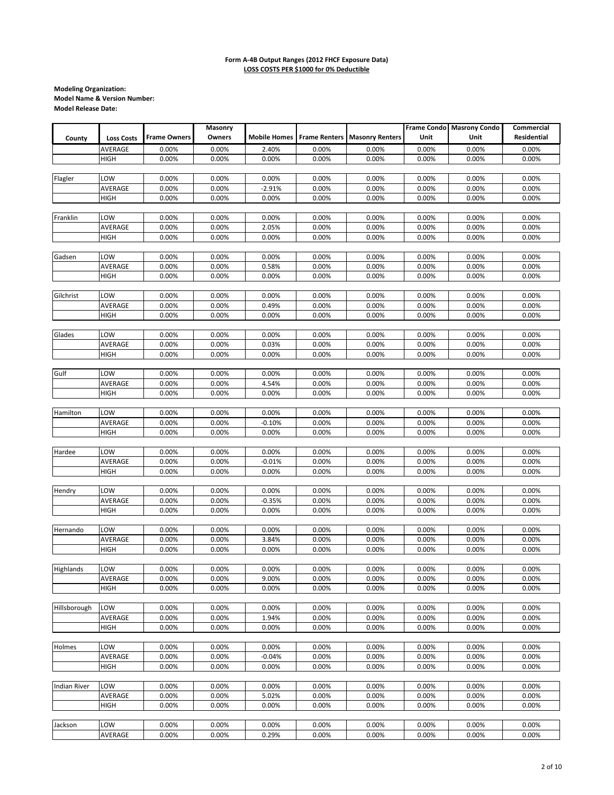|                     |                   |                     | Masonry |          |                                   |                        |       | Frame Condo Masrony Condo | Commercial         |
|---------------------|-------------------|---------------------|---------|----------|-----------------------------------|------------------------|-------|---------------------------|--------------------|
| County              | <b>Loss Costs</b> | <b>Frame Owners</b> | Owners  |          | <b>Mobile Homes Frame Renters</b> | <b>Masonry Renters</b> | Unit  | Unit                      | <b>Residential</b> |
|                     |                   | 0.00%               |         |          | 0.00%                             | 0.00%                  |       | 0.00%                     |                    |
|                     | AVERAGE           |                     | 0.00%   | 2.40%    |                                   |                        | 0.00% |                           | 0.00%              |
|                     | HIGH              | 0.00%               | 0.00%   | 0.00%    | 0.00%                             | 0.00%                  | 0.00% | 0.00%                     | 0.00%              |
|                     |                   |                     |         |          |                                   |                        |       |                           |                    |
| Flagler             | LOW               | 0.00%               | 0.00%   | 0.00%    | 0.00%                             | 0.00%                  | 0.00% | 0.00%                     | 0.00%              |
|                     | AVERAGE           | 0.00%               | 0.00%   | $-2.91%$ | 0.00%                             | 0.00%                  | 0.00% | 0.00%                     | 0.00%              |
|                     | HIGH              | 0.00%               | 0.00%   | 0.00%    | 0.00%                             | 0.00%                  | 0.00% | 0.00%                     | 0.00%              |
|                     |                   |                     |         |          |                                   |                        |       |                           |                    |
| Franklin            | LOW               | 0.00%               | 0.00%   | 0.00%    | 0.00%                             | 0.00%                  | 0.00% | 0.00%                     | 0.00%              |
|                     | AVERAGE           | 0.00%               | 0.00%   | 2.05%    | 0.00%                             | 0.00%                  | 0.00% | 0.00%                     | 0.00%              |
|                     | <b>HIGH</b>       | 0.00%               | 0.00%   | 0.00%    | 0.00%                             | 0.00%                  | 0.00% | 0.00%                     | 0.00%              |
|                     |                   |                     |         |          |                                   |                        |       |                           |                    |
| Gadsen              | LOW               | 0.00%               | 0.00%   | 0.00%    | 0.00%                             | 0.00%                  | 0.00% | 0.00%                     | 0.00%              |
|                     | AVERAGE           | 0.00%               | 0.00%   | 0.58%    | 0.00%                             | 0.00%                  | 0.00% | 0.00%                     | 0.00%              |
|                     | HIGH              | 0.00%               | 0.00%   | 0.00%    | 0.00%                             | 0.00%                  | 0.00% | 0.00%                     | 0.00%              |
|                     |                   |                     |         |          |                                   |                        |       |                           |                    |
| Gilchrist           | LOW               | 0.00%               | 0.00%   | 0.00%    | 0.00%                             | 0.00%                  | 0.00% | 0.00%                     | 0.00%              |
|                     | AVERAGE           | 0.00%               | 0.00%   | 0.49%    | 0.00%                             | 0.00%                  | 0.00% | 0.00%                     | 0.00%              |
|                     | HIGH              | 0.00%               | 0.00%   | 0.00%    | 0.00%                             | 0.00%                  | 0.00% | 0.00%                     | 0.00%              |
|                     |                   |                     |         |          |                                   |                        |       |                           |                    |
| Glades              | LOW               | 0.00%               | 0.00%   | 0.00%    | 0.00%                             | 0.00%                  | 0.00% | 0.00%                     | 0.00%              |
|                     |                   |                     |         |          |                                   |                        |       |                           |                    |
|                     | AVERAGE           | 0.00%               | 0.00%   | 0.03%    | 0.00%                             | 0.00%                  | 0.00% | 0.00%                     | 0.00%              |
|                     | HIGH              | 0.00%               | 0.00%   | 0.00%    | 0.00%                             | 0.00%                  | 0.00% | 0.00%                     | 0.00%              |
|                     |                   |                     |         |          |                                   |                        |       |                           |                    |
| Gulf                | LOW               | 0.00%               | 0.00%   | 0.00%    | 0.00%                             | 0.00%                  | 0.00% | 0.00%                     | 0.00%              |
|                     | AVERAGE           | 0.00%               | 0.00%   | 4.54%    | 0.00%                             | 0.00%                  | 0.00% | 0.00%                     | 0.00%              |
|                     | HIGH              | 0.00%               | 0.00%   | 0.00%    | 0.00%                             | 0.00%                  | 0.00% | 0.00%                     | 0.00%              |
|                     |                   |                     |         |          |                                   |                        |       |                           |                    |
| Hamilton            | LOW               | 0.00%               | 0.00%   | 0.00%    | 0.00%                             | 0.00%                  | 0.00% | 0.00%                     | 0.00%              |
|                     | AVERAGE           | 0.00%               | 0.00%   | $-0.10%$ | 0.00%                             | 0.00%                  | 0.00% | 0.00%                     | 0.00%              |
|                     | HIGH              | 0.00%               | 0.00%   | 0.00%    | 0.00%                             | 0.00%                  | 0.00% | 0.00%                     | 0.00%              |
|                     |                   |                     |         |          |                                   |                        |       |                           |                    |
| Hardee              | LOW               | 0.00%               | 0.00%   | 0.00%    | 0.00%                             | 0.00%                  | 0.00% | 0.00%                     | 0.00%              |
|                     | AVERAGE           | 0.00%               | 0.00%   | $-0.01%$ | 0.00%                             | 0.00%                  | 0.00% | 0.00%                     | 0.00%              |
|                     | HIGH              | 0.00%               | 0.00%   | 0.00%    | 0.00%                             | 0.00%                  | 0.00% | 0.00%                     | 0.00%              |
|                     |                   |                     |         |          |                                   |                        |       |                           |                    |
| Hendry              | LOW               | 0.00%               | 0.00%   | 0.00%    | 0.00%                             | 0.00%                  | 0.00% | 0.00%                     | 0.00%              |
|                     | AVERAGE           | 0.00%               | 0.00%   | $-0.35%$ | 0.00%                             | 0.00%                  | 0.00% | 0.00%                     | 0.00%              |
|                     | HIGH              | 0.00%               | 0.00%   | 0.00%    | 0.00%                             | 0.00%                  | 0.00% | 0.00%                     | 0.00%              |
|                     |                   |                     |         |          |                                   |                        |       |                           |                    |
|                     |                   |                     |         |          |                                   |                        |       |                           |                    |
| Hernando            | LOW               | 0.00%               | 0.00%   | 0.00%    | 0.00%                             | 0.00%                  | 0.00% | 0.00%                     | 0.00%              |
|                     | AVERAGE           | 0.00%               | 0.00%   | 3.84%    | 0.00%                             | 0.00%                  | 0.00% | 0.00%                     | 0.00%              |
|                     | <b>HIGH</b>       | 0.00%               | 0.00%   | 0.00%    | 0.00%                             | 0.00%                  | 0.00% | 0.00%                     | 0.00%              |
|                     |                   |                     |         |          |                                   |                        |       |                           |                    |
| Highlands           | LOW               | 0.00%               | 0.00%   | 0.00%    | 0.00%                             | 0.00%                  | 0.00% | 0.00%                     | 0.00%              |
|                     | AVERAGE           | 0.00%               | 0.00%   | 9.00%    | 0.00%                             | 0.00%                  | 0.00% | 0.00%                     | 0.00%              |
|                     | HIGH              | 0.00%               | 0.00%   | 0.00%    | 0.00%                             | 0.00%                  | 0.00% | 0.00%                     | 0.00%              |
|                     |                   |                     |         |          |                                   |                        |       |                           |                    |
| Hillsborough        | LOW               | 0.00%               | 0.00%   | 0.00%    | 0.00%                             | 0.00%                  | 0.00% | 0.00%                     | 0.00%              |
|                     | AVERAGE           | 0.00%               | 0.00%   | 1.94%    | 0.00%                             | 0.00%                  | 0.00% | 0.00%                     | 0.00%              |
|                     | HIGH              | 0.00%               | 0.00%   | 0.00%    | 0.00%                             | 0.00%                  | 0.00% | 0.00%                     | 0.00%              |
|                     |                   |                     |         |          |                                   |                        |       |                           |                    |
| Holmes              | LOW               | 0.00%               | 0.00%   | 0.00%    | 0.00%                             | 0.00%                  | 0.00% | 0.00%                     | 0.00%              |
|                     | AVERAGE           | 0.00%               | 0.00%   | $-0.04%$ | 0.00%                             | 0.00%                  | 0.00% | 0.00%                     | 0.00%              |
|                     | HIGH              | 0.00%               | 0.00%   | 0.00%    | 0.00%                             | 0.00%                  | 0.00% | 0.00%                     | 0.00%              |
|                     |                   |                     |         |          |                                   |                        |       |                           |                    |
|                     | LOW               |                     |         |          |                                   |                        |       |                           |                    |
| <b>Indian River</b> |                   | 0.00%               | 0.00%   | 0.00%    | 0.00%                             | 0.00%                  | 0.00% | 0.00%                     | 0.00%              |
|                     | AVERAGE           | 0.00%               | 0.00%   | 5.02%    | 0.00%                             | 0.00%                  | 0.00% | 0.00%                     | 0.00%              |
|                     | <b>HIGH</b>       | 0.00%               | 0.00%   | 0.00%    | 0.00%                             | 0.00%                  | 0.00% | 0.00%                     | 0.00%              |
|                     |                   |                     |         |          |                                   |                        |       |                           |                    |
| Jackson             | LOW               | 0.00%               | 0.00%   | 0.00%    | 0.00%                             | 0.00%                  | 0.00% | 0.00%                     | 0.00%              |
|                     | AVERAGE           | 0.00%               | 0.00%   | 0.29%    | 0.00%                             | 0.00%                  | 0.00% | 0.00%                     | 0.00%              |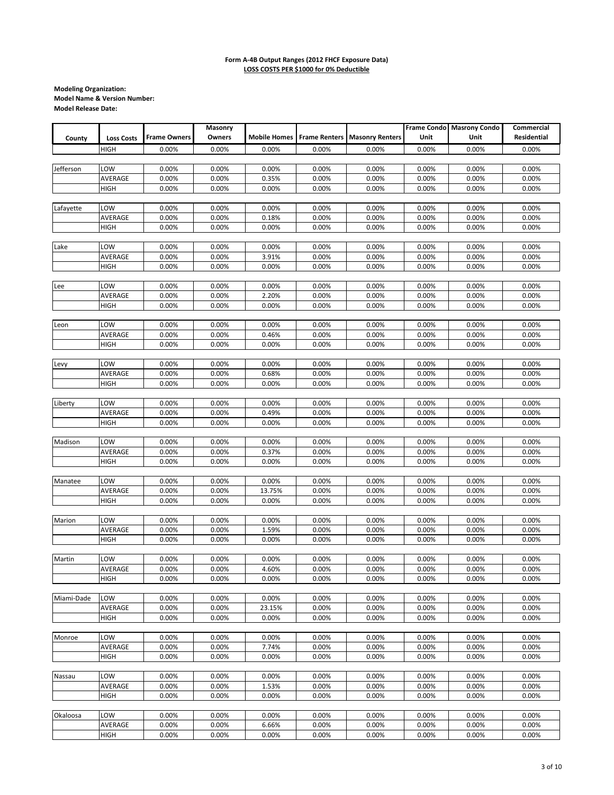|            |                   |                     | Masonry |        |       |                                            |       | Frame Condo Masrony Condo | Commercial         |
|------------|-------------------|---------------------|---------|--------|-------|--------------------------------------------|-------|---------------------------|--------------------|
| County     | <b>Loss Costs</b> | <b>Frame Owners</b> | Owners  |        |       | Mobile Homes Frame Renters Masonry Renters | Unit  | Unit                      | <b>Residential</b> |
|            | HIGH              | 0.00%               | 0.00%   | 0.00%  | 0.00% | 0.00%                                      | 0.00% | 0.00%                     | 0.00%              |
|            |                   |                     |         |        |       |                                            |       |                           |                    |
| Jefferson  | LOW               | 0.00%               | 0.00%   | 0.00%  | 0.00% | 0.00%                                      | 0.00% | 0.00%                     | 0.00%              |
|            | AVERAGE           | 0.00%               | 0.00%   | 0.35%  | 0.00% | 0.00%                                      | 0.00% | 0.00%                     | 0.00%              |
|            | <b>HIGH</b>       | 0.00%               | 0.00%   | 0.00%  | 0.00% | 0.00%                                      | 0.00% | 0.00%                     | 0.00%              |
|            |                   |                     |         |        |       |                                            |       |                           |                    |
| Lafayette  | LOW               | 0.00%               | 0.00%   | 0.00%  | 0.00% | 0.00%                                      | 0.00% | 0.00%                     | 0.00%              |
|            | AVERAGE           | 0.00%               | 0.00%   | 0.18%  | 0.00% | 0.00%                                      | 0.00% | 0.00%                     | 0.00%              |
|            | HIGH              | 0.00%               | 0.00%   | 0.00%  | 0.00% | 0.00%                                      | 0.00% | 0.00%                     | 0.00%              |
|            |                   |                     |         |        |       |                                            |       |                           |                    |
| Lake       | LOW               | 0.00%               | 0.00%   | 0.00%  | 0.00% | 0.00%                                      | 0.00% | 0.00%                     | 0.00%              |
|            | AVERAGE           | 0.00%               | 0.00%   | 3.91%  | 0.00% | 0.00%                                      | 0.00% | 0.00%                     | 0.00%              |
|            | HIGH              | 0.00%               | 0.00%   | 0.00%  | 0.00% | 0.00%                                      | 0.00% | 0.00%                     | 0.00%              |
|            |                   |                     |         |        |       |                                            |       |                           |                    |
| Lee        | LOW               | 0.00%               | 0.00%   | 0.00%  | 0.00% | 0.00%                                      | 0.00% | 0.00%                     | 0.00%              |
|            | AVERAGE           | 0.00%               | 0.00%   | 2.20%  | 0.00% | 0.00%                                      | 0.00% | 0.00%                     | 0.00%              |
|            | <b>HIGH</b>       | 0.00%               | 0.00%   | 0.00%  | 0.00% | 0.00%                                      | 0.00% | 0.00%                     | 0.00%              |
|            |                   |                     |         |        |       |                                            |       |                           |                    |
| Leon       | LOW               | 0.00%               | 0.00%   | 0.00%  | 0.00% | 0.00%                                      | 0.00% | 0.00%                     | 0.00%              |
|            | AVERAGE           | 0.00%               | 0.00%   | 0.46%  | 0.00% | 0.00%                                      | 0.00% | 0.00%                     | 0.00%              |
|            | HIGH              | 0.00%               | 0.00%   | 0.00%  | 0.00% | 0.00%                                      | 0.00% | 0.00%                     | 0.00%              |
|            |                   |                     |         |        |       |                                            |       |                           |                    |
| Levy       | LOW               | 0.00%               | 0.00%   | 0.00%  | 0.00% | 0.00%                                      | 0.00% | 0.00%                     | 0.00%              |
|            | AVERAGE           | 0.00%               | 0.00%   | 0.68%  | 0.00% | 0.00%                                      | 0.00% | 0.00%                     | 0.00%              |
|            | HIGH              | 0.00%               | 0.00%   | 0.00%  | 0.00% | 0.00%                                      | 0.00% | 0.00%                     | 0.00%              |
|            |                   |                     |         |        |       |                                            |       |                           |                    |
| Liberty    | LOW               | 0.00%               | 0.00%   | 0.00%  | 0.00% | 0.00%                                      | 0.00% | 0.00%                     | 0.00%              |
|            | AVERAGE           | 0.00%               | 0.00%   | 0.49%  | 0.00% | 0.00%                                      | 0.00% | 0.00%                     | 0.00%              |
|            | HIGH              | 0.00%               | 0.00%   | 0.00%  | 0.00% | 0.00%                                      | 0.00% | 0.00%                     | 0.00%              |
|            |                   |                     |         |        |       |                                            |       |                           |                    |
| Madison    | LOW               | 0.00%               | 0.00%   | 0.00%  | 0.00% | 0.00%                                      | 0.00% | 0.00%                     | 0.00%              |
|            | AVERAGE           | 0.00%               | 0.00%   | 0.37%  | 0.00% | 0.00%                                      | 0.00% | 0.00%                     | 0.00%              |
|            | HIGH              | 0.00%               | 0.00%   | 0.00%  | 0.00% | 0.00%                                      | 0.00% | 0.00%                     | 0.00%              |
|            |                   |                     |         |        |       |                                            |       |                           |                    |
| Manatee    | LOW               | 0.00%               | 0.00%   | 0.00%  | 0.00% | 0.00%                                      | 0.00% | 0.00%                     | 0.00%              |
|            | AVERAGE           | 0.00%               | 0.00%   | 13.75% | 0.00% | 0.00%                                      | 0.00% | 0.00%                     | 0.00%              |
|            | HIGH              | 0.00%               | 0.00%   | 0.00%  | 0.00% | 0.00%                                      | 0.00% | 0.00%                     | 0.00%              |
|            |                   |                     |         |        |       |                                            |       |                           |                    |
| Marion     | LOW               | 0.00%               | 0.00%   | 0.00%  | 0.00% | 0.00%                                      | 0.00% | 0.00%                     | 0.00%              |
|            | AVERAGE           | 0.00%               | 0.00%   | 1.59%  | 0.00% | 0.00%                                      | 0.00% | 0.00%                     | 0.00%              |
|            | HIGH              | 0.00%               | 0.00%   | 0.00%  | 0.00% | 0.00%                                      | 0.00% | 0.00%                     | 0.00%              |
|            |                   |                     |         |        |       |                                            |       |                           |                    |
| Martin     | LOW               | 0.00%               | 0.00%   | 0.00%  | 0.00% | 0.00%                                      | 0.00% | 0.00%                     | 0.00%              |
|            | AVERAGE           | 0.00%               | 0.00%   | 4.60%  | 0.00% | 0.00%                                      | 0.00% | 0.00%                     | 0.00%              |
|            | HIGH              | 0.00%               | 0.00%   | 0.00%  | 0.00% | 0.00%                                      | 0.00% | 0.00%                     | 0.00%              |
|            |                   |                     |         |        |       |                                            |       |                           |                    |
| Miami-Dade | LOW               | 0.00%               | 0.00%   | 0.00%  | 0.00% | 0.00%                                      | 0.00% | 0.00%                     | 0.00%              |
|            | AVERAGE           | 0.00%               | 0.00%   | 23.15% | 0.00% | 0.00%                                      | 0.00% | 0.00%                     | 0.00%              |
|            | HIGH              | 0.00%               | 0.00%   | 0.00%  | 0.00% | 0.00%                                      | 0.00% | 0.00%                     | 0.00%              |
|            |                   |                     |         |        |       |                                            |       |                           |                    |
| Monroe     | LOW               | 0.00%               | 0.00%   | 0.00%  | 0.00% | 0.00%                                      | 0.00% | 0.00%                     | 0.00%              |
|            | AVERAGE           | 0.00%               | 0.00%   | 7.74%  | 0.00% | 0.00%                                      | 0.00% | 0.00%                     | 0.00%              |
|            | <b>HIGH</b>       | 0.00%               | 0.00%   | 0.00%  | 0.00% | 0.00%                                      | 0.00% | 0.00%                     | 0.00%              |
|            |                   |                     |         |        |       |                                            |       |                           |                    |
| Nassau     | LOW               | 0.00%               | 0.00%   | 0.00%  | 0.00% | 0.00%                                      | 0.00% | 0.00%                     | 0.00%              |
|            | AVERAGE           | 0.00%               | 0.00%   | 1.53%  | 0.00% | 0.00%                                      | 0.00% | 0.00%                     | 0.00%              |
|            | HIGH              | 0.00%               | 0.00%   | 0.00%  | 0.00% | 0.00%                                      | 0.00% | 0.00%                     | 0.00%              |
|            |                   |                     |         |        |       |                                            |       |                           |                    |
| Okaloosa   | LOW               | 0.00%               | 0.00%   | 0.00%  | 0.00% | 0.00%                                      | 0.00% | 0.00%                     | 0.00%              |
|            | AVERAGE           | 0.00%               | 0.00%   | 6.66%  | 0.00% | 0.00%                                      | 0.00% | 0.00%                     | 0.00%              |
|            | <b>HIGH</b>       | 0.00%               | 0.00%   | 0.00%  | 0.00% | 0.00%                                      | 0.00% | 0.00%                     | 0.00%              |
|            |                   |                     |         |        |       |                                            |       |                           |                    |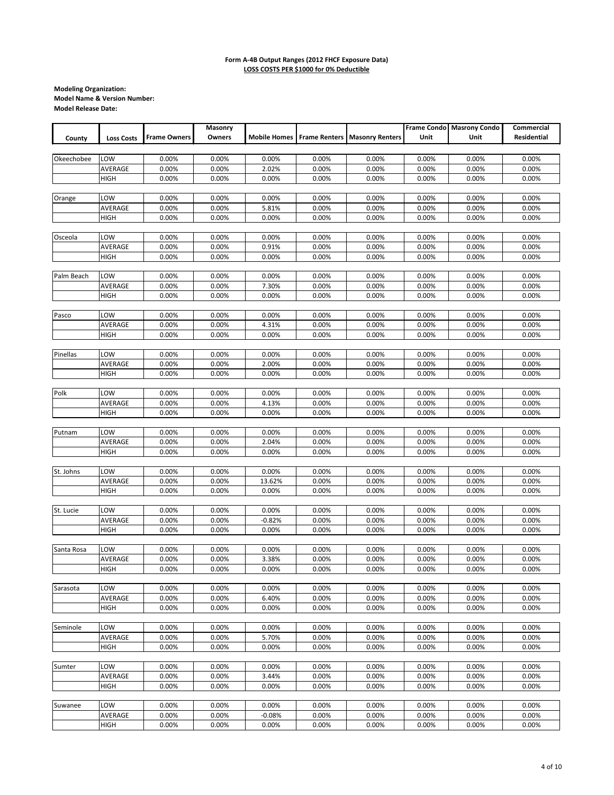|            |                   |                     | Masonry |          |       |                                                   |       | Frame Condo Masrony Condo | Commercial  |
|------------|-------------------|---------------------|---------|----------|-------|---------------------------------------------------|-------|---------------------------|-------------|
| County     | <b>Loss Costs</b> | <b>Frame Owners</b> | Owners  |          |       | <b>Mobile Homes Frame Renters Masonry Renters</b> | Unit  | Unit                      | Residential |
|            |                   |                     |         |          |       |                                                   |       |                           |             |
| Okeechobee | LOW               | 0.00%               | 0.00%   | 0.00%    | 0.00% | 0.00%                                             | 0.00% | 0.00%                     | 0.00%       |
|            | AVERAGE           | 0.00%               | 0.00%   | 2.02%    | 0.00% | 0.00%                                             | 0.00% | 0.00%                     | 0.00%       |
|            | <b>HIGH</b>       | 0.00%               | 0.00%   | 0.00%    | 0.00% | 0.00%                                             | 0.00% | 0.00%                     | 0.00%       |
|            |                   |                     |         |          |       |                                                   |       |                           |             |
| Orange     | LOW               | 0.00%               | 0.00%   | 0.00%    | 0.00% | 0.00%                                             | 0.00% | 0.00%                     | 0.00%       |
|            | AVERAGE           | 0.00%               | 0.00%   | 5.81%    | 0.00% | 0.00%                                             | 0.00% | 0.00%                     | 0.00%       |
|            | <b>HIGH</b>       | 0.00%               | 0.00%   | 0.00%    | 0.00% | 0.00%                                             | 0.00% | 0.00%                     | 0.00%       |
|            |                   |                     |         |          |       |                                                   |       |                           |             |
| Osceola    | LOW               | 0.00%               | 0.00%   | 0.00%    | 0.00% | 0.00%                                             | 0.00% | 0.00%                     | 0.00%       |
|            | AVERAGE           | 0.00%               | 0.00%   | 0.91%    | 0.00% | 0.00%                                             | 0.00% | 0.00%                     | 0.00%       |
|            | HIGH              | 0.00%               | 0.00%   | 0.00%    | 0.00% | 0.00%                                             | 0.00% | 0.00%                     | 0.00%       |
|            |                   |                     |         |          |       |                                                   |       |                           |             |
| Palm Beach | LOW               | 0.00%               | 0.00%   | 0.00%    | 0.00% | 0.00%                                             | 0.00% | 0.00%                     | 0.00%       |
|            | AVERAGE           | 0.00%               | 0.00%   | 7.30%    | 0.00% | 0.00%                                             | 0.00% | 0.00%                     | 0.00%       |
|            | <b>HIGH</b>       | 0.00%               | 0.00%   | 0.00%    | 0.00% | 0.00%                                             | 0.00% | 0.00%                     | 0.00%       |
|            |                   |                     |         |          |       |                                                   |       |                           |             |
| Pasco      | LOW               | 0.00%               | 0.00%   | 0.00%    | 0.00% | 0.00%                                             | 0.00% | 0.00%                     | 0.00%       |
|            | AVERAGE           | 0.00%               | 0.00%   | 4.31%    | 0.00% | 0.00%                                             | 0.00% | 0.00%                     | 0.00%       |
|            | HIGH              | 0.00%               | 0.00%   | 0.00%    | 0.00% | 0.00%                                             | 0.00% | 0.00%                     | 0.00%       |
|            |                   |                     |         |          |       |                                                   |       |                           |             |
| Pinellas   | LOW               | 0.00%               | 0.00%   | 0.00%    | 0.00% | 0.00%                                             | 0.00% | 0.00%                     | 0.00%       |
|            | AVERAGE           | 0.00%               | 0.00%   | 2.00%    | 0.00% | 0.00%                                             | 0.00% | 0.00%                     | 0.00%       |
|            | <b>HIGH</b>       | 0.00%               | 0.00%   | 0.00%    | 0.00% | 0.00%                                             | 0.00% | 0.00%                     | 0.00%       |
|            |                   |                     |         |          |       |                                                   |       |                           |             |
| Polk       | LOW               | 0.00%               | 0.00%   | 0.00%    | 0.00% | 0.00%                                             | 0.00% | 0.00%                     | 0.00%       |
|            | AVERAGE           | 0.00%               | 0.00%   | 4.13%    | 0.00% | 0.00%                                             | 0.00% | 0.00%                     | 0.00%       |
|            | <b>HIGH</b>       | 0.00%               | 0.00%   | 0.00%    | 0.00% | 0.00%                                             | 0.00% | 0.00%                     | 0.00%       |
|            |                   |                     |         |          |       |                                                   |       |                           |             |
| Putnam     | LOW               | 0.00%               | 0.00%   | 0.00%    | 0.00% | 0.00%                                             | 0.00% | 0.00%                     | 0.00%       |
|            | AVERAGE           | 0.00%               | 0.00%   | 2.04%    | 0.00% | 0.00%                                             | 0.00% | 0.00%                     | 0.00%       |
|            | <b>HIGH</b>       | 0.00%               | 0.00%   | 0.00%    | 0.00% | 0.00%                                             | 0.00% | 0.00%                     | 0.00%       |
|            |                   |                     |         |          |       |                                                   |       |                           |             |
| St. Johns  | LOW               | 0.00%               | 0.00%   | 0.00%    | 0.00% | 0.00%                                             | 0.00% | 0.00%                     | 0.00%       |
|            | AVERAGE           | 0.00%               | 0.00%   | 13.62%   | 0.00% | 0.00%                                             | 0.00% | 0.00%                     | 0.00%       |
|            | <b>HIGH</b>       | 0.00%               | 0.00%   | 0.00%    | 0.00% | 0.00%                                             | 0.00% | 0.00%                     | 0.00%       |
|            |                   |                     |         |          |       |                                                   |       |                           |             |
| St. Lucie  | LOW               | 0.00%               | 0.00%   | 0.00%    | 0.00% | 0.00%                                             | 0.00% | 0.00%                     | 0.00%       |
|            | AVERAGE           | 0.00%               | 0.00%   | $-0.82%$ | 0.00% | 0.00%                                             | 0.00% | 0.00%                     | 0.00%       |
|            | <b>HIGH</b>       | 0.00%               | 0.00%   | 0.00%    | 0.00% | 0.00%                                             | 0.00% | 0.00%                     | 0.00%       |
| Santa Rosa | LOW               | 0.00%               | 0.00%   | 0.00%    | 0.00% | 0.00%                                             | 0.00% | 0.00%                     | 0.00%       |
|            | AVERAGE           | 0.00%               | 0.00%   | 3.38%    | 0.00% | 0.00%                                             | 0.00% | 0.00%                     | 0.00%       |
|            | <b>HIGH</b>       | 0.00%               | 0.00%   | 0.00%    | 0.00% | 0.00%                                             | 0.00% | 0.00%                     | 0.00%       |
|            |                   |                     |         |          |       |                                                   |       |                           |             |
| Sarasota   | LOW               | 0.00%               | 0.00%   | 0.00%    | 0.00% | 0.00%                                             | 0.00% | 0.00%                     | 0.00%       |
|            | AVERAGE           | 0.00%               | 0.00%   | 6.40%    | 0.00% | 0.00%                                             | 0.00% | 0.00%                     | 0.00%       |
|            | <b>HIGH</b>       | 0.00%               | 0.00%   | 0.00%    | 0.00% | 0.00%                                             | 0.00% | 0.00%                     | 0.00%       |
|            |                   |                     |         |          |       |                                                   |       |                           |             |
| Seminole   | LOW               | 0.00%               | 0.00%   | 0.00%    | 0.00% | 0.00%                                             | 0.00% | 0.00%                     | 0.00%       |
|            | AVERAGE           | 0.00%               | 0.00%   | 5.70%    | 0.00% | 0.00%                                             | 0.00% | 0.00%                     | 0.00%       |
|            | HIGH              | 0.00%               | 0.00%   | 0.00%    | 0.00% | 0.00%                                             | 0.00% | 0.00%                     | 0.00%       |
|            |                   |                     |         |          |       |                                                   |       |                           |             |
| Sumter     | LOW               | 0.00%               | 0.00%   | 0.00%    | 0.00% | 0.00%                                             | 0.00% | 0.00%                     | 0.00%       |
|            | AVERAGE           | 0.00%               | 0.00%   | 3.44%    | 0.00% | 0.00%                                             | 0.00% | 0.00%                     | 0.00%       |
|            | <b>HIGH</b>       | 0.00%               | 0.00%   | 0.00%    | 0.00% | 0.00%                                             | 0.00% | 0.00%                     | 0.00%       |
|            |                   |                     |         |          |       |                                                   |       |                           |             |
| Suwanee    | LOW               | 0.00%               | 0.00%   | 0.00%    | 0.00% | 0.00%                                             | 0.00% | 0.00%                     | 0.00%       |
|            | AVERAGE           | 0.00%               | 0.00%   | $-0.08%$ | 0.00% | 0.00%                                             | 0.00% | 0.00%                     | 0.00%       |
|            | <b>HIGH</b>       | 0.00%               | 0.00%   | 0.00%    | 0.00% | 0.00%                                             | 0.00% | 0.00%                     | 0.00%       |
|            |                   |                     |         |          |       |                                                   |       |                           |             |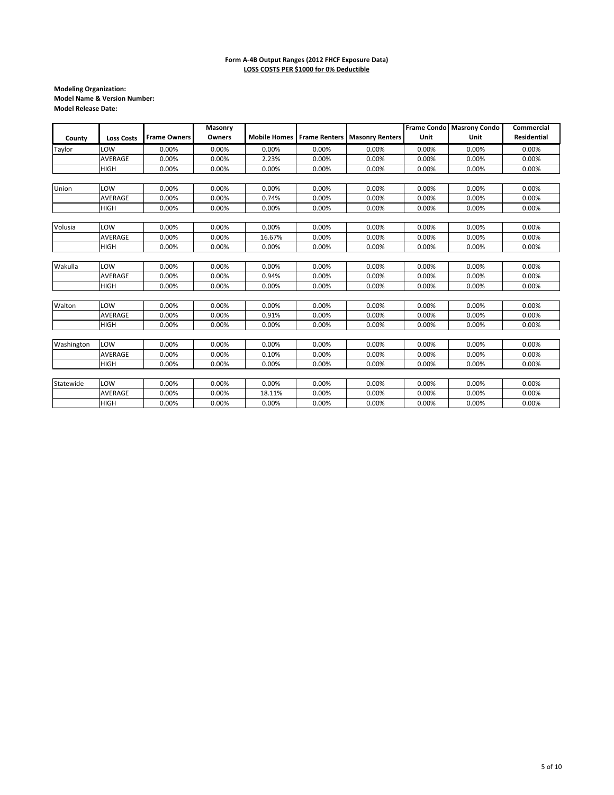|            |                   |                     | Masonry |        |       |                                                |       | Frame Condo Masrony Condo | <b>Commercial</b> |
|------------|-------------------|---------------------|---------|--------|-------|------------------------------------------------|-------|---------------------------|-------------------|
| County     | <b>Loss Costs</b> | <b>Frame Owners</b> | Owners  |        |       | Mobile Homes   Frame Renters   Masonry Renters | Unit  | Unit                      | Residential       |
| Taylor     | LOW               | 0.00%               | 0.00%   | 0.00%  | 0.00% | 0.00%                                          | 0.00% | 0.00%                     | 0.00%             |
|            | AVERAGE           | 0.00%               | 0.00%   | 2.23%  | 0.00% | 0.00%                                          | 0.00% | 0.00%                     | 0.00%             |
|            | <b>HIGH</b>       | 0.00%               | 0.00%   | 0.00%  | 0.00% | 0.00%                                          | 0.00% | 0.00%                     | 0.00%             |
|            |                   |                     |         |        |       |                                                |       |                           |                   |
| Union      | LOW               | 0.00%               | 0.00%   | 0.00%  | 0.00% | 0.00%                                          | 0.00% | 0.00%                     | 0.00%             |
|            | AVERAGE           | 0.00%               | 0.00%   | 0.74%  | 0.00% | 0.00%                                          | 0.00% | 0.00%                     | 0.00%             |
|            | <b>HIGH</b>       | 0.00%               | 0.00%   | 0.00%  | 0.00% | 0.00%                                          | 0.00% | 0.00%                     | 0.00%             |
|            |                   |                     |         |        |       |                                                |       |                           |                   |
| Volusia    | LOW               | 0.00%               | 0.00%   | 0.00%  | 0.00% | 0.00%                                          | 0.00% | 0.00%                     | 0.00%             |
|            | AVERAGE           | 0.00%               | 0.00%   | 16.67% | 0.00% | 0.00%                                          | 0.00% | 0.00%                     | 0.00%             |
|            | <b>HIGH</b>       | 0.00%               | 0.00%   | 0.00%  | 0.00% | 0.00%                                          | 0.00% | 0.00%                     | 0.00%             |
|            |                   |                     |         |        |       |                                                |       |                           |                   |
| Wakulla    | LOW               | 0.00%               | 0.00%   | 0.00%  | 0.00% | 0.00%                                          | 0.00% | 0.00%                     | 0.00%             |
|            | AVERAGE           | 0.00%               | 0.00%   | 0.94%  | 0.00% | 0.00%                                          | 0.00% | 0.00%                     | 0.00%             |
|            | <b>HIGH</b>       | 0.00%               | 0.00%   | 0.00%  | 0.00% | 0.00%                                          | 0.00% | 0.00%                     | 0.00%             |
|            |                   |                     |         |        |       |                                                |       |                           |                   |
| Walton     | LOW               | 0.00%               | 0.00%   | 0.00%  | 0.00% | 0.00%                                          | 0.00% | 0.00%                     | 0.00%             |
|            | AVERAGE           | 0.00%               | 0.00%   | 0.91%  | 0.00% | 0.00%                                          | 0.00% | 0.00%                     | 0.00%             |
|            | <b>HIGH</b>       | 0.00%               | 0.00%   | 0.00%  | 0.00% | 0.00%                                          | 0.00% | 0.00%                     | 0.00%             |
|            |                   |                     |         |        |       |                                                |       |                           |                   |
| Washington | LOW               | 0.00%               | 0.00%   | 0.00%  | 0.00% | 0.00%                                          | 0.00% | 0.00%                     | 0.00%             |
|            | AVERAGE           | 0.00%               | 0.00%   | 0.10%  | 0.00% | 0.00%                                          | 0.00% | 0.00%                     | 0.00%             |
|            | <b>HIGH</b>       | 0.00%               | 0.00%   | 0.00%  | 0.00% | 0.00%                                          | 0.00% | 0.00%                     | 0.00%             |
|            |                   |                     |         |        |       |                                                |       |                           |                   |
| Statewide  | LOW               | 0.00%               | 0.00%   | 0.00%  | 0.00% | 0.00%                                          | 0.00% | 0.00%                     | 0.00%             |
|            | AVERAGE           | 0.00%               | 0.00%   | 18.11% | 0.00% | 0.00%                                          | 0.00% | 0.00%                     | 0.00%             |
|            | <b>HIGH</b>       | 0.00%               | 0.00%   | 0.00%  | 0.00% | 0.00%                                          | 0.00% | 0.00%                     | 0.00%             |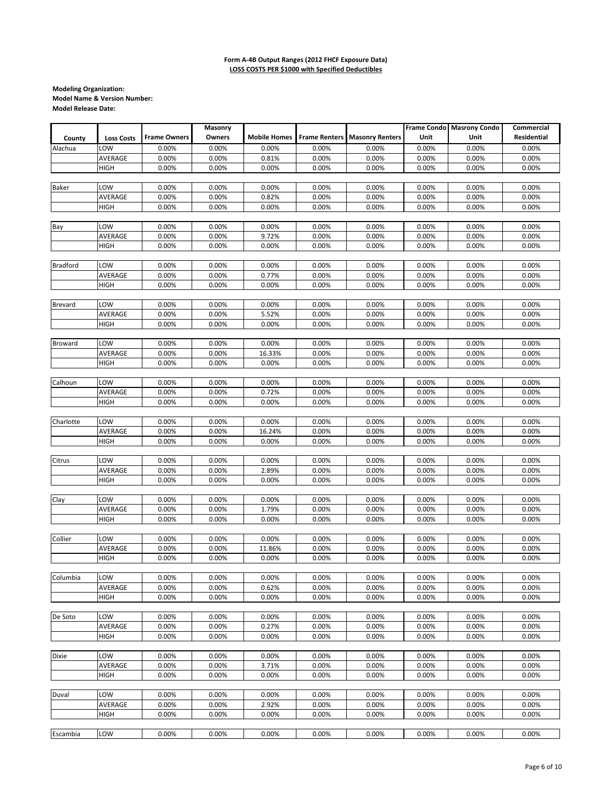|                 |                   |                     | Masonry        |                     |                      |                        | <b>Frame Condo</b> | <b>Masrony Condo</b> | Commercial         |
|-----------------|-------------------|---------------------|----------------|---------------------|----------------------|------------------------|--------------------|----------------------|--------------------|
| County          | <b>Loss Costs</b> | <b>Frame Owners</b> | Owners         | <b>Mobile Homes</b> | <b>Frame Renters</b> | <b>Masonry Renters</b> | Unit               | Unit                 | <b>Residential</b> |
| Alachua         | LOW               | 0.00%               | 0.00%          | 0.00%               | 0.00%                | 0.00%                  | 0.00%              | 0.00%                | 0.00%              |
|                 | AVERAGE           | 0.00%               | 0.00%          | 0.81%               | 0.00%                | 0.00%                  | 0.00%              | 0.00%                | 0.00%              |
|                 | <b>HIGH</b>       | 0.00%               | 0.00%          | 0.00%               | 0.00%                | 0.00%                  | 0.00%              | 0.00%                | 0.00%              |
|                 |                   |                     |                |                     |                      |                        |                    |                      |                    |
| <b>Baker</b>    | LOW               | 0.00%               | 0.00%          | 0.00%               | 0.00%                | 0.00%                  | 0.00%              | 0.00%                | 0.00%              |
|                 | AVERAGE           | 0.00%               | 0.00%          | 0.82%               | 0.00%                | 0.00%                  | 0.00%              | 0.00%                | 0.00%              |
|                 | <b>HIGH</b>       | 0.00%               | 0.00%          | 0.00%               | 0.00%                | 0.00%                  | 0.00%              | 0.00%                | 0.00%              |
|                 |                   |                     |                |                     |                      |                        |                    |                      |                    |
| Bay             | LOW               | 0.00%               | 0.00%          | 0.00%               | 0.00%                | 0.00%                  | 0.00%              | 0.00%                | 0.00%              |
|                 | AVERAGE           | 0.00%               | 0.00%          | 9.72%               | 0.00%                | 0.00%                  | 0.00%              | 0.00%                | 0.00%              |
|                 | <b>HIGH</b>       | 0.00%               | 0.00%          | 0.00%               | 0.00%                | 0.00%                  | 0.00%              | 0.00%                | 0.00%              |
|                 |                   |                     |                |                     |                      |                        |                    |                      |                    |
| <b>Bradford</b> | LOW               | 0.00%               | 0.00%          | 0.00%               | 0.00%                | 0.00%                  | 0.00%              | 0.00%                | 0.00%              |
|                 | AVERAGE           | 0.00%               | 0.00%          | 0.77%               | 0.00%                | 0.00%                  | 0.00%              | 0.00%                | 0.00%              |
|                 | HIGH              | 0.00%               | 0.00%          | 0.00%               | 0.00%                | 0.00%                  | 0.00%              | 0.00%                | 0.00%              |
|                 |                   |                     |                |                     |                      |                        |                    |                      |                    |
| <b>Brevard</b>  | LOW               | 0.00%               | 0.00%          | 0.00%               | 0.00%                | 0.00%                  | 0.00%              | 0.00%                | 0.00%              |
|                 | AVERAGE           | 0.00%               | 0.00%          | 5.52%               | 0.00%                | 0.00%                  | 0.00%              | 0.00%                | 0.00%              |
|                 | HIGH              | 0.00%               | 0.00%          | 0.00%               | 0.00%                | 0.00%                  | 0.00%              | 0.00%                | 0.00%              |
|                 |                   |                     |                |                     |                      |                        |                    |                      |                    |
| Broward         | LOW               | 0.00%               | 0.00%          | 0.00%               | 0.00%                | 0.00%                  | 0.00%              | 0.00%                | 0.00%              |
|                 | AVERAGE           | 0.00%               | 0.00%          | 16.33%              | 0.00%                | 0.00%                  | 0.00%              | 0.00%                | 0.00%              |
|                 | HIGH              | 0.00%               | 0.00%          | 0.00%               | 0.00%                | 0.00%                  | 0.00%              | 0.00%                | 0.00%              |
|                 |                   |                     |                |                     |                      |                        |                    |                      |                    |
| Calhoun         | LOW               | 0.00%               | 0.00%          | 0.00%               | 0.00%                | 0.00%                  | 0.00%              | 0.00%                | 0.00%              |
|                 | AVERAGE           | 0.00%               | 0.00%          | 0.72%               | 0.00%                | 0.00%                  | 0.00%              | 0.00%                | 0.00%              |
|                 | <b>HIGH</b>       | 0.00%               | 0.00%          | 0.00%               | 0.00%                | 0.00%                  | 0.00%              | 0.00%                | 0.00%              |
|                 |                   |                     |                |                     |                      |                        |                    |                      |                    |
| Charlotte       | LOW               | 0.00%               | 0.00%          | 0.00%               | 0.00%                | 0.00%                  | 0.00%              | 0.00%                | 0.00%              |
|                 | AVERAGE           | 0.00%               | 0.00%          | 16.24%              | 0.00%                | 0.00%                  | 0.00%              | 0.00%                | 0.00%              |
|                 | <b>HIGH</b>       | 0.00%               | 0.00%          | 0.00%               | 0.00%                | 0.00%                  | 0.00%              | 0.00%                | 0.00%              |
|                 |                   |                     |                |                     |                      |                        |                    |                      |                    |
| Citrus          | LOW               | 0.00%               | 0.00%          | 0.00%               | 0.00%                | 0.00%                  | 0.00%              | 0.00%                | 0.00%              |
|                 | AVERAGE           | 0.00%               | 0.00%          | 2.89%               | 0.00%                | 0.00%                  | 0.00%              | 0.00%                | 0.00%              |
|                 | HIGH              | 0.00%               | 0.00%          | 0.00%               | 0.00%                | 0.00%                  | 0.00%              | 0.00%                | 0.00%              |
| Clay            | LOW               | 0.00%               |                | 0.00%               |                      |                        |                    | 0.00%                | 0.00%              |
|                 | AVERAGE           | 0.00%               | 0.00%<br>0.00% |                     | 0.00%<br>0.00%       | 0.00%<br>0.00%         | 0.00%<br>0.00%     | 0.00%                | 0.00%              |
|                 | HIGH              | 0.00%               | 0.00%          | 1.79%<br>0.00%      | 0.00%                | 0.00%                  | 0.00%              | 0.00%                | 0.00%              |
|                 |                   |                     |                |                     |                      |                        |                    |                      |                    |
| Collier         | LOW               | 0.00%               | 0.00%          | 0.00%               | 0.00%                | 0.00%                  | 0.00%              | 0.00%                | 0.00%              |
|                 | AVERAGE           | 0.00%               | 0.00%          | 11.86%              | 0.00%                | 0.00%                  | 0.00%              | 0.00%                | 0.00%              |
|                 | <b>HIGH</b>       | 0.00%               | 0.00%          | 0.00%               | 0.00%                | 0.00%                  | 0.00%              | 0.00%                | 0.00%              |
|                 |                   |                     |                |                     |                      |                        |                    |                      |                    |
| Columbia        | LOW               | 0.00%               | 0.00%          | 0.00%               | 0.00%                | 0.00%                  | 0.00%              | 0.00%                | 0.00%              |
|                 | AVERAGE           | 0.00%               | 0.00%          | 0.62%               | 0.00%                | 0.00%                  | 0.00%              | 0.00%                | 0.00%              |
|                 | HIGH              | 0.00%               | 0.00%          | 0.00%               | 0.00%                | 0.00%                  | 0.00%              | 0.00%                | 0.00%              |
|                 |                   |                     |                |                     |                      |                        |                    |                      |                    |
| De Soto         | LOW               | 0.00%               | 0.00%          | 0.00%               | 0.00%                | 0.00%                  | 0.00%              | 0.00%                | 0.00%              |
|                 | AVERAGE           | 0.00%               | 0.00%          | 0.27%               | 0.00%                | 0.00%                  | 0.00%              | 0.00%                | 0.00%              |
|                 | <b>HIGH</b>       | 0.00%               | 0.00%          | 0.00%               | 0.00%                | 0.00%                  | 0.00%              | 0.00%                | 0.00%              |
|                 |                   |                     |                |                     |                      |                        |                    |                      |                    |
| Dixie           | LOW               | 0.00%               | 0.00%          | 0.00%               | 0.00%                | 0.00%                  | 0.00%              | 0.00%                | 0.00%              |
|                 | AVERAGE           | 0.00%               | 0.00%          | 3.71%               | 0.00%                | 0.00%                  | 0.00%              | 0.00%                | 0.00%              |
|                 | <b>HIGH</b>       | 0.00%               | 0.00%          | 0.00%               | 0.00%                | 0.00%                  | 0.00%              | 0.00%                | 0.00%              |
|                 |                   |                     |                |                     |                      |                        |                    |                      |                    |
| Duval           | LOW               | 0.00%               | 0.00%          | 0.00%               | 0.00%                | 0.00%                  | 0.00%              | 0.00%                | 0.00%              |
|                 | AVERAGE           | 0.00%               | 0.00%          | 2.92%               | 0.00%                | 0.00%                  | 0.00%              | 0.00%                | 0.00%              |
|                 | HIGH              | 0.00%               | 0.00%          | 0.00%               | 0.00%                | 0.00%                  | 0.00%              | 0.00%                | 0.00%              |
|                 |                   |                     |                |                     |                      |                        |                    |                      |                    |
| Escambia        | LOW               | 0.00%               | 0.00%          | 0.00%               | 0.00%                | 0.00%                  | 0.00%              | 0.00%                | 0.00%              |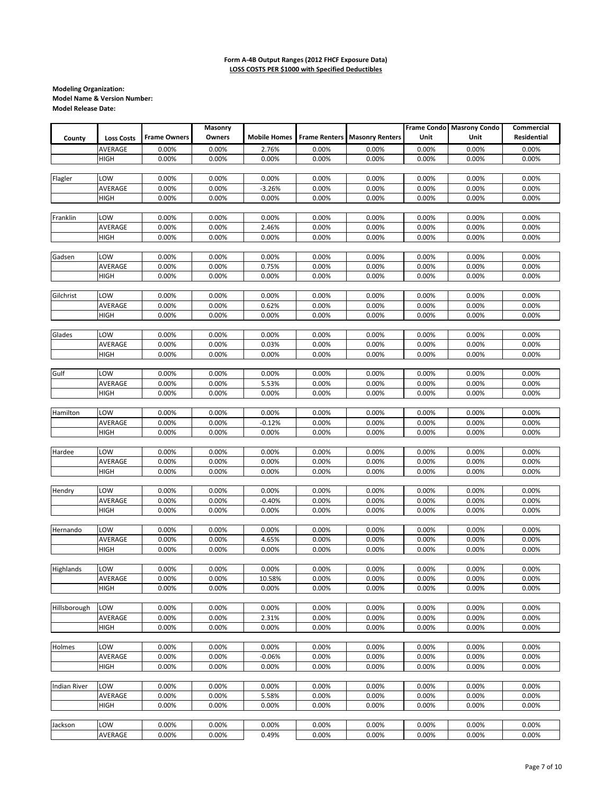|              |                   |                     | Masonry |                     |       |                                      |       | Frame Condo Masrony Condo | Commercial  |
|--------------|-------------------|---------------------|---------|---------------------|-------|--------------------------------------|-------|---------------------------|-------------|
| County       | <b>Loss Costs</b> | <b>Frame Owners</b> | Owners  | <b>Mobile Homes</b> |       | <b>Frame Renters Masonry Renters</b> | Unit  | Unit                      | Residential |
|              |                   |                     |         |                     |       |                                      |       |                           |             |
|              | AVERAGE           | 0.00%               | 0.00%   | 2.76%               | 0.00% | 0.00%                                | 0.00% | 0.00%                     | 0.00%       |
|              | <b>HIGH</b>       | 0.00%               | 0.00%   | 0.00%               | 0.00% | 0.00%                                | 0.00% | 0.00%                     | 0.00%       |
|              |                   |                     |         |                     |       |                                      |       |                           |             |
| Flagler      | LOW               | 0.00%               | 0.00%   | 0.00%               | 0.00% | 0.00%                                | 0.00% | 0.00%                     | 0.00%       |
|              | AVERAGE           | 0.00%               | 0.00%   | $-3.26%$            | 0.00% | 0.00%                                | 0.00% | 0.00%                     | 0.00%       |
|              | <b>HIGH</b>       | 0.00%               | 0.00%   | 0.00%               | 0.00% | 0.00%                                | 0.00% | 0.00%                     | 0.00%       |
|              |                   |                     |         |                     |       |                                      |       |                           |             |
| Franklin     | LOW               | 0.00%               | 0.00%   | 0.00%               | 0.00% | 0.00%                                | 0.00% | 0.00%                     | 0.00%       |
|              | AVERAGE           | 0.00%               | 0.00%   | 2.46%               | 0.00% | 0.00%                                | 0.00% | 0.00%                     | 0.00%       |
|              | <b>HIGH</b>       | 0.00%               | 0.00%   | 0.00%               | 0.00% | 0.00%                                | 0.00% | 0.00%                     | 0.00%       |
|              |                   |                     |         |                     |       |                                      |       |                           |             |
| Gadsen       | LOW               | 0.00%               | 0.00%   | 0.00%               | 0.00% | 0.00%                                | 0.00% | 0.00%                     | 0.00%       |
|              | AVERAGE           | 0.00%               | 0.00%   | 0.75%               | 0.00% | 0.00%                                | 0.00% | 0.00%                     | 0.00%       |
|              | <b>HIGH</b>       | 0.00%               | 0.00%   | 0.00%               | 0.00% | 0.00%                                | 0.00% | 0.00%                     | 0.00%       |
|              |                   |                     |         |                     |       |                                      |       |                           |             |
| Gilchrist    | LOW               | 0.00%               | 0.00%   | 0.00%               | 0.00% | 0.00%                                | 0.00% | 0.00%                     | 0.00%       |
|              | AVERAGE           | 0.00%               | 0.00%   | 0.62%               | 0.00% | 0.00%                                | 0.00% | 0.00%                     | 0.00%       |
|              |                   | 0.00%               |         |                     | 0.00% | 0.00%                                | 0.00% |                           |             |
|              | <b>HIGH</b>       |                     | 0.00%   | 0.00%               |       |                                      |       | 0.00%                     | 0.00%       |
|              |                   |                     |         |                     |       |                                      |       |                           |             |
| Glades       | LOW               | 0.00%               | 0.00%   | 0.00%               | 0.00% | 0.00%                                | 0.00% | 0.00%                     | 0.00%       |
|              | AVERAGE           | 0.00%               | 0.00%   | 0.03%               | 0.00% | 0.00%                                | 0.00% | 0.00%                     | 0.00%       |
|              | <b>HIGH</b>       | 0.00%               | 0.00%   | 0.00%               | 0.00% | 0.00%                                | 0.00% | 0.00%                     | 0.00%       |
|              |                   |                     |         |                     |       |                                      |       |                           |             |
| Gulf         | LOW               | 0.00%               | 0.00%   | 0.00%               | 0.00% | 0.00%                                | 0.00% | 0.00%                     | 0.00%       |
|              | AVERAGE           | 0.00%               | 0.00%   | 5.53%               | 0.00% | 0.00%                                | 0.00% | 0.00%                     | 0.00%       |
|              | <b>HIGH</b>       | 0.00%               | 0.00%   | 0.00%               | 0.00% | 0.00%                                | 0.00% | 0.00%                     | 0.00%       |
|              |                   |                     |         |                     |       |                                      |       |                           |             |
| Hamilton     | LOW               | 0.00%               | 0.00%   | 0.00%               | 0.00% | 0.00%                                | 0.00% | 0.00%                     | 0.00%       |
|              | AVERAGE           | 0.00%               | 0.00%   | $-0.12%$            | 0.00% | 0.00%                                | 0.00% | 0.00%                     | 0.00%       |
|              | <b>HIGH</b>       | 0.00%               | 0.00%   | 0.00%               | 0.00% | 0.00%                                | 0.00% | 0.00%                     | 0.00%       |
|              |                   |                     |         |                     |       |                                      |       |                           |             |
| Hardee       | LOW               | 0.00%               | 0.00%   | 0.00%               | 0.00% | 0.00%                                | 0.00% | 0.00%                     | 0.00%       |
|              | AVERAGE           | 0.00%               | 0.00%   | 0.00%               | 0.00% | 0.00%                                | 0.00% | 0.00%                     | 0.00%       |
|              | <b>HIGH</b>       | 0.00%               | 0.00%   | 0.00%               | 0.00% | 0.00%                                | 0.00% | 0.00%                     | 0.00%       |
|              |                   |                     |         |                     |       |                                      |       |                           |             |
| Hendry       | LOW               | 0.00%               | 0.00%   | 0.00%               | 0.00% | 0.00%                                | 0.00% | 0.00%                     | 0.00%       |
|              | AVERAGE           | 0.00%               | 0.00%   | $-0.40%$            | 0.00% | 0.00%                                | 0.00% | 0.00%                     | 0.00%       |
|              | <b>HIGH</b>       | 0.00%               | 0.00%   | 0.00%               | 0.00% | 0.00%                                | 0.00% | 0.00%                     | 0.00%       |
|              |                   |                     |         |                     |       |                                      |       |                           |             |
| Hernando     | LOW               | 0.00%               | 0.00%   | 0.00%               | 0.00% | 0.00%                                | 0.00% | 0.00%                     | 0.00%       |
|              | AVERAGE           | 0.00%               | 0.00%   | 4.65%               | 0.00% | 0.00%                                | 0.00% | 0.00%                     | 0.00%       |
|              | <b>HIGH</b>       | 0.00%               | 0.00%   | 0.00%               | 0.00% | 0.00%                                | 0.00% | 0.00%                     | 0.00%       |
|              |                   |                     |         |                     |       |                                      |       |                           |             |
| Highlands    | LOW               | 0.00%               | 0.00%   | 0.00%               | 0.00% | 0.00%                                | 0.00% | 0.00%                     | 0.00%       |
|              | AVERAGE           | 0.00%               | 0.00%   | 10.58%              | 0.00% | 0.00%                                | 0.00% | 0.00%                     | 0.00%       |
|              |                   |                     | 0.00%   |                     |       |                                      |       |                           |             |
|              | <b>HIGH</b>       | 0.00%               |         | 0.00%               | 0.00% | 0.00%                                | 0.00% | 0.00%                     | 0.00%       |
|              |                   |                     |         |                     |       |                                      |       |                           |             |
| Hillsborough | LOW               | 0.00%               | 0.00%   | 0.00%               | 0.00% | 0.00%                                | 0.00% | 0.00%                     | 0.00%       |
|              | AVERAGE           | 0.00%               | 0.00%   | 2.31%               | 0.00% | 0.00%                                | 0.00% | 0.00%                     | 0.00%       |
|              | HIGH              | 0.00%               | 0.00%   | 0.00%               | 0.00% | 0.00%                                | 0.00% | 0.00%                     | 0.00%       |
|              |                   |                     |         |                     |       |                                      |       |                           |             |
| Holmes       | LOW               | 0.00%               | 0.00%   | 0.00%               | 0.00% | 0.00%                                | 0.00% | 0.00%                     | 0.00%       |
|              | AVERAGE           | 0.00%               | 0.00%   | $-0.06%$            | 0.00% | 0.00%                                | 0.00% | 0.00%                     | 0.00%       |
|              | HIGH              | 0.00%               | 0.00%   | 0.00%               | 0.00% | 0.00%                                | 0.00% | 0.00%                     | 0.00%       |
|              |                   |                     |         |                     |       |                                      |       |                           |             |
| Indian River | LOW               | 0.00%               | 0.00%   | 0.00%               | 0.00% | 0.00%                                | 0.00% | 0.00%                     | 0.00%       |
|              | AVERAGE           | 0.00%               | 0.00%   | 5.58%               | 0.00% | 0.00%                                | 0.00% | 0.00%                     | 0.00%       |
|              | <b>HIGH</b>       | 0.00%               | 0.00%   | 0.00%               | 0.00% | 0.00%                                | 0.00% | 0.00%                     | 0.00%       |
|              |                   |                     |         |                     |       |                                      |       |                           |             |
| Jackson      | LOW               | 0.00%               | 0.00%   | 0.00%               | 0.00% | 0.00%                                | 0.00% | 0.00%                     | 0.00%       |
|              | AVERAGE           | 0.00%               | 0.00%   | 0.49%               | 0.00% | 0.00%                                | 0.00% | 0.00%                     | 0.00%       |
|              |                   |                     |         |                     |       |                                      |       |                           |             |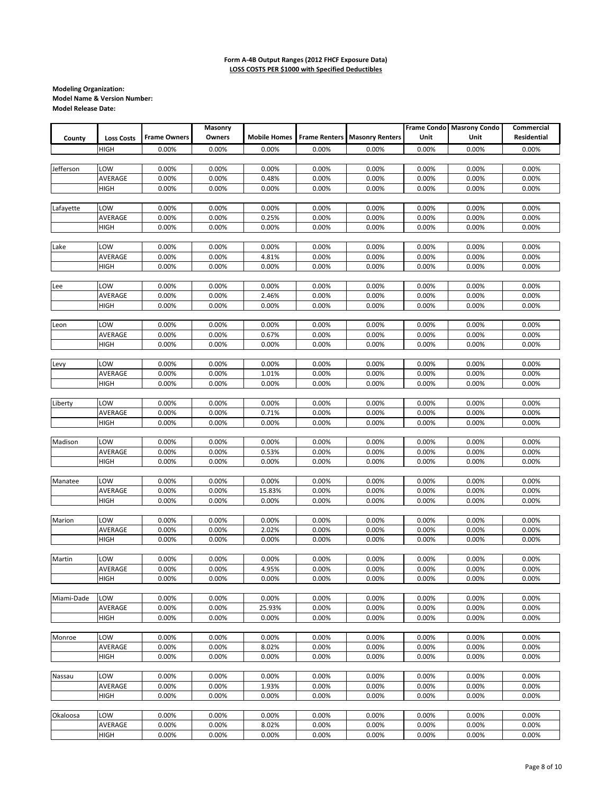|            |                   |                     | Masonry |                     |       |                                      |       | Frame Condo Masrony Condo | Commercial  |
|------------|-------------------|---------------------|---------|---------------------|-------|--------------------------------------|-------|---------------------------|-------------|
| County     | <b>Loss Costs</b> | <b>Frame Owners</b> | Owners  | <b>Mobile Homes</b> |       | <b>Frame Renters Masonry Renters</b> | Unit  | Unit                      | Residential |
|            | <b>HIGH</b>       | 0.00%               | 0.00%   | 0.00%               | 0.00% | 0.00%                                | 0.00% | 0.00%                     | 0.00%       |
|            |                   |                     |         |                     |       |                                      |       |                           |             |
| Jefferson  | LOW               | 0.00%               | 0.00%   | 0.00%               | 0.00% | 0.00%                                | 0.00% | 0.00%                     | 0.00%       |
|            | AVERAGE           | 0.00%               | 0.00%   | 0.48%               | 0.00% | 0.00%                                | 0.00% | 0.00%                     | 0.00%       |
|            | <b>HIGH</b>       | 0.00%               | 0.00%   | 0.00%               | 0.00% | 0.00%                                | 0.00% | 0.00%                     | 0.00%       |
|            |                   |                     |         |                     |       |                                      |       |                           |             |
| Lafayette  | LOW               | 0.00%               | 0.00%   | 0.00%               | 0.00% | 0.00%                                | 0.00% | 0.00%                     | 0.00%       |
|            |                   | 0.00%               |         |                     |       |                                      |       |                           |             |
|            | AVERAGE           |                     | 0.00%   | 0.25%               | 0.00% | 0.00%                                | 0.00% | 0.00%                     | 0.00%       |
|            | <b>HIGH</b>       | 0.00%               | 0.00%   | 0.00%               | 0.00% | 0.00%                                | 0.00% | 0.00%                     | 0.00%       |
|            |                   |                     |         |                     |       |                                      |       |                           |             |
| Lake       | LOW               | 0.00%               | 0.00%   | 0.00%               | 0.00% | 0.00%                                | 0.00% | 0.00%                     | 0.00%       |
|            | AVERAGE           | 0.00%               | 0.00%   | 4.81%               | 0.00% | 0.00%                                | 0.00% | 0.00%                     | 0.00%       |
|            | <b>HIGH</b>       | 0.00%               | 0.00%   | 0.00%               | 0.00% | 0.00%                                | 0.00% | 0.00%                     | 0.00%       |
|            |                   |                     |         |                     |       |                                      |       |                           |             |
| Lee        | LOW               | 0.00%               | 0.00%   | 0.00%               | 0.00% | 0.00%                                | 0.00% | 0.00%                     | 0.00%       |
|            | AVERAGE           | 0.00%               | 0.00%   | 2.46%               | 0.00% | 0.00%                                | 0.00% | 0.00%                     | 0.00%       |
|            | <b>HIGH</b>       | 0.00%               | 0.00%   | 0.00%               | 0.00% | 0.00%                                | 0.00% | 0.00%                     | 0.00%       |
|            |                   |                     |         |                     |       |                                      |       |                           |             |
| Leon       | LOW               | 0.00%               | 0.00%   | 0.00%               | 0.00% | 0.00%                                | 0.00% | 0.00%                     | 0.00%       |
|            | AVERAGE           | 0.00%               | 0.00%   | 0.67%               | 0.00% | 0.00%                                | 0.00% | 0.00%                     | 0.00%       |
|            | <b>HIGH</b>       | 0.00%               | 0.00%   | 0.00%               | 0.00% | 0.00%                                | 0.00% | 0.00%                     | 0.00%       |
|            |                   |                     |         |                     |       |                                      |       |                           |             |
| Levy       | LOW               | 0.00%               | 0.00%   | 0.00%               | 0.00% | 0.00%                                | 0.00% | 0.00%                     | 0.00%       |
|            | AVERAGE           | 0.00%               | 0.00%   | 1.01%               | 0.00% | 0.00%                                | 0.00% | 0.00%                     | 0.00%       |
|            |                   |                     |         |                     |       |                                      |       |                           |             |
|            | <b>HIGH</b>       | 0.00%               | 0.00%   | 0.00%               | 0.00% | 0.00%                                | 0.00% | 0.00%                     | 0.00%       |
|            |                   |                     |         |                     |       |                                      |       |                           |             |
| Liberty    | LOW               | 0.00%               | 0.00%   | 0.00%               | 0.00% | 0.00%                                | 0.00% | 0.00%                     | 0.00%       |
|            | AVERAGE           | 0.00%               | 0.00%   | 0.71%               | 0.00% | 0.00%                                | 0.00% | 0.00%                     | 0.00%       |
|            | <b>HIGH</b>       | 0.00%               | 0.00%   | 0.00%               | 0.00% | 0.00%                                | 0.00% | 0.00%                     | 0.00%       |
|            |                   |                     |         |                     |       |                                      |       |                           |             |
| Madison    | LOW               | 0.00%               | 0.00%   | 0.00%               | 0.00% | 0.00%                                | 0.00% | 0.00%                     | 0.00%       |
|            | AVERAGE           | 0.00%               | 0.00%   | 0.53%               | 0.00% | 0.00%                                | 0.00% | 0.00%                     | 0.00%       |
|            | <b>HIGH</b>       | 0.00%               | 0.00%   | 0.00%               | 0.00% | 0.00%                                | 0.00% | 0.00%                     | 0.00%       |
|            |                   |                     |         |                     |       |                                      |       |                           |             |
| Manatee    | LOW               | 0.00%               | 0.00%   | 0.00%               | 0.00% | 0.00%                                | 0.00% | 0.00%                     | 0.00%       |
|            | AVERAGE           | 0.00%               | 0.00%   | 15.83%              | 0.00% | 0.00%                                | 0.00% | 0.00%                     | 0.00%       |
|            | <b>HIGH</b>       | 0.00%               | 0.00%   | 0.00%               | 0.00% | 0.00%                                | 0.00% | 0.00%                     | 0.00%       |
|            |                   |                     |         |                     |       |                                      |       |                           |             |
| Marion     | LOW               | 0.00%               | 0.00%   | 0.00%               | 0.00% | 0.00%                                | 0.00% | 0.00%                     | 0.00%       |
|            | AVERAGE           | 0.00%               | 0.00%   | 2.02%               | 0.00% | 0.00%                                | 0.00% | 0.00%                     | 0.00%       |
|            | <b>HIGH</b>       | 0.00%               | 0.00%   | 0.00%               | 0.00% | 0.00%                                | 0.00% | 0.00%                     | 0.00%       |
|            |                   |                     |         |                     |       |                                      |       |                           |             |
| Martin     | LOW               | 0.00%               | 0.00%   | 0.00%               | 0.00% | 0.00%                                | 0.00% | 0.00%                     | 0.00%       |
|            | AVERAGE           | 0.00%               | 0.00%   | 4.95%               | 0.00% | 0.00%                                | 0.00% | 0.00%                     | 0.00%       |
|            | <b>HIGH</b>       | 0.00%               |         |                     |       |                                      |       |                           |             |
|            |                   |                     | 0.00%   | 0.00%               | 0.00% | 0.00%                                | 0.00% | 0.00%                     | 0.00%       |
|            |                   |                     |         |                     |       |                                      |       |                           |             |
| Miami-Dade | LOW               | 0.00%               | 0.00%   | 0.00%               | 0.00% | 0.00%                                | 0.00% | 0.00%                     | 0.00%       |
|            | AVERAGE           | 0.00%               | 0.00%   | 25.93%              | 0.00% | 0.00%                                | 0.00% | 0.00%                     | 0.00%       |
|            | <b>HIGH</b>       | 0.00%               | 0.00%   | 0.00%               | 0.00% | 0.00%                                | 0.00% | 0.00%                     | 0.00%       |
|            |                   |                     |         |                     |       |                                      |       |                           |             |
| Monroe     | LOW               | 0.00%               | 0.00%   | 0.00%               | 0.00% | 0.00%                                | 0.00% | 0.00%                     | 0.00%       |
|            | AVERAGE           | 0.00%               | 0.00%   | 8.02%               | 0.00% | 0.00%                                | 0.00% | 0.00%                     | 0.00%       |
|            | <b>HIGH</b>       | 0.00%               | 0.00%   | 0.00%               | 0.00% | 0.00%                                | 0.00% | 0.00%                     | 0.00%       |
|            |                   |                     |         |                     |       |                                      |       |                           |             |
| Nassau     | LOW               | 0.00%               | 0.00%   | 0.00%               | 0.00% | 0.00%                                | 0.00% | 0.00%                     | 0.00%       |
|            | AVERAGE           | 0.00%               | 0.00%   | 1.93%               | 0.00% | 0.00%                                | 0.00% | 0.00%                     | 0.00%       |
|            | HIGH              | 0.00%               | 0.00%   | 0.00%               | 0.00% | 0.00%                                | 0.00% | 0.00%                     | 0.00%       |
|            |                   |                     |         |                     |       |                                      |       |                           |             |
| Okaloosa   | LOW               | 0.00%               | 0.00%   | 0.00%               | 0.00% | 0.00%                                | 0.00% | 0.00%                     | 0.00%       |
|            | AVERAGE           | 0.00%               | 0.00%   | 8.02%               | 0.00% | 0.00%                                | 0.00% | 0.00%                     | 0.00%       |
|            | <b>HIGH</b>       | 0.00%               | 0.00%   | 0.00%               | 0.00% | 0.00%                                | 0.00% | 0.00%                     | 0.00%       |
|            |                   |                     |         |                     |       |                                      |       |                           |             |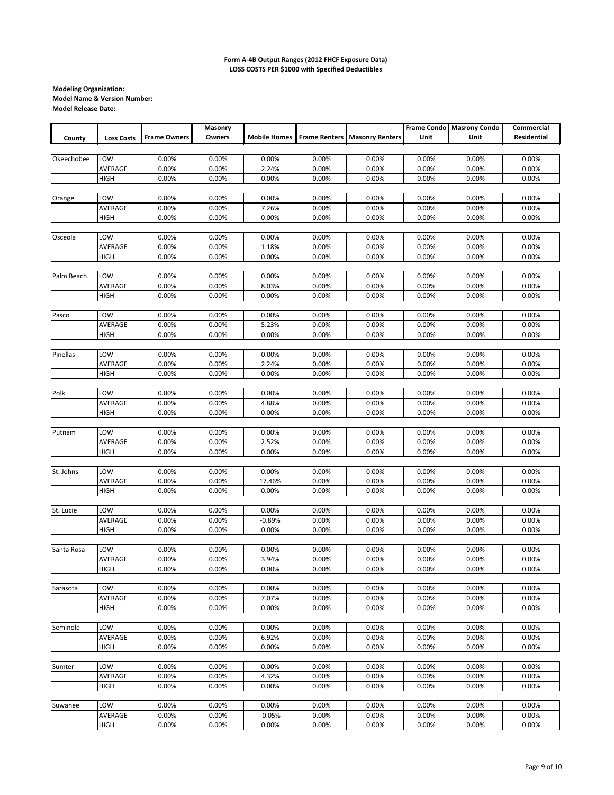|            |                   |                     | Masonry |                     |       |                                      |       | <b>Frame Condo</b> Masrony Condo | Commercial  |
|------------|-------------------|---------------------|---------|---------------------|-------|--------------------------------------|-------|----------------------------------|-------------|
| County     | <b>Loss Costs</b> | <b>Frame Owners</b> | Owners  | <b>Mobile Homes</b> |       | <b>Frame Renters Masonry Renters</b> | Unit  | Unit                             | Residential |
|            |                   |                     |         |                     |       |                                      |       |                                  |             |
| Okeechobee | LOW               | 0.00%               | 0.00%   | 0.00%               | 0.00% | 0.00%                                | 0.00% | 0.00%                            | 0.00%       |
|            | AVERAGE           | 0.00%               | 0.00%   | 2.24%               | 0.00% | 0.00%                                | 0.00% | 0.00%                            | 0.00%       |
|            | HIGH              | 0.00%               | 0.00%   | 0.00%               | 0.00% | 0.00%                                | 0.00% | 0.00%                            | 0.00%       |
|            |                   |                     |         |                     |       |                                      |       |                                  |             |
| Orange     | LOW               | 0.00%               | 0.00%   | 0.00%               | 0.00% | 0.00%                                | 0.00% | 0.00%                            | 0.00%       |
|            | AVERAGE           | 0.00%               | 0.00%   | 7.26%               | 0.00% | 0.00%                                | 0.00% | 0.00%                            | 0.00%       |
|            | <b>HIGH</b>       | 0.00%               | 0.00%   | 0.00%               | 0.00% | 0.00%                                | 0.00% | 0.00%                            | 0.00%       |
|            |                   |                     |         |                     |       |                                      |       |                                  |             |
| Osceola    | LOW               | 0.00%               | 0.00%   | 0.00%               | 0.00% | 0.00%                                | 0.00% | 0.00%                            | 0.00%       |
|            | AVERAGE           | 0.00%               | 0.00%   | 1.18%               | 0.00% | 0.00%                                | 0.00% | 0.00%                            | 0.00%       |
|            | <b>HIGH</b>       | 0.00%               | 0.00%   | 0.00%               | 0.00% | 0.00%                                | 0.00% | 0.00%                            | 0.00%       |
|            |                   |                     |         |                     |       |                                      |       |                                  |             |
| Palm Beach | LOW               | 0.00%               | 0.00%   | 0.00%               | 0.00% | 0.00%                                | 0.00% | 0.00%                            | 0.00%       |
|            | AVERAGE           | 0.00%               | 0.00%   | 8.03%               | 0.00% | 0.00%                                | 0.00% | 0.00%                            | 0.00%       |
|            | <b>HIGH</b>       | 0.00%               | 0.00%   | 0.00%               | 0.00% | 0.00%                                | 0.00% | 0.00%                            | 0.00%       |
|            |                   |                     |         |                     |       |                                      |       |                                  |             |
| Pasco      | LOW               | 0.00%               | 0.00%   | 0.00%               | 0.00% | 0.00%                                | 0.00% | 0.00%                            | 0.00%       |
|            | AVERAGE           | 0.00%               | 0.00%   | 5.23%               | 0.00% | 0.00%                                | 0.00% | 0.00%                            | 0.00%       |
|            | HIGH              | 0.00%               | 0.00%   | 0.00%               | 0.00% | 0.00%                                | 0.00% | 0.00%                            | 0.00%       |
|            |                   |                     |         |                     |       |                                      |       |                                  |             |
| Pinellas   | LOW               | 0.00%               | 0.00%   | 0.00%               | 0.00% | 0.00%                                | 0.00% | 0.00%                            | 0.00%       |
|            | AVERAGE           | 0.00%               | 0.00%   | 2.24%               | 0.00% | 0.00%                                | 0.00% | 0.00%                            | 0.00%       |
|            | <b>HIGH</b>       | 0.00%               | 0.00%   | 0.00%               | 0.00% | 0.00%                                | 0.00% | 0.00%                            | 0.00%       |
|            |                   |                     |         |                     |       |                                      |       |                                  |             |
| Polk       | LOW               | 0.00%               | 0.00%   | 0.00%               | 0.00% | 0.00%                                | 0.00% | 0.00%                            | 0.00%       |
|            | AVERAGE           | 0.00%               | 0.00%   | 4.88%               | 0.00% | 0.00%                                | 0.00% | 0.00%                            | 0.00%       |
|            | <b>HIGH</b>       | 0.00%               | 0.00%   | 0.00%               | 0.00% | 0.00%                                | 0.00% | 0.00%                            | 0.00%       |
|            |                   |                     |         |                     |       |                                      |       |                                  |             |
| Putnam     | LOW               | 0.00%               | 0.00%   | 0.00%               | 0.00% | 0.00%                                | 0.00% | 0.00%                            | 0.00%       |
|            | AVERAGE           | 0.00%               | 0.00%   | 2.52%               | 0.00% | 0.00%                                | 0.00% | 0.00%                            | 0.00%       |
|            | <b>HIGH</b>       | 0.00%               | 0.00%   | 0.00%               | 0.00% | 0.00%                                | 0.00% | 0.00%                            | 0.00%       |
|            |                   |                     |         |                     |       |                                      |       |                                  |             |
| St. Johns  | LOW               | 0.00%               | 0.00%   | 0.00%               | 0.00% | 0.00%                                | 0.00% | 0.00%                            | 0.00%       |
|            | AVERAGE           | 0.00%               | 0.00%   | 17.46%              | 0.00% | 0.00%                                | 0.00% | 0.00%                            | 0.00%       |
|            | <b>HIGH</b>       | 0.00%               | 0.00%   | 0.00%               | 0.00% | 0.00%                                | 0.00% | 0.00%                            | 0.00%       |
|            |                   |                     |         |                     |       |                                      |       |                                  |             |
| St. Lucie  | LOW               | 0.00%               | 0.00%   | 0.00%               | 0.00% | 0.00%                                | 0.00% | 0.00%                            | 0.00%       |
|            | AVERAGE           | 0.00%               | 0.00%   | $-0.89%$            | 0.00% | 0.00%                                | 0.00% | 0.00%                            | 0.00%       |
|            | <b>HIGH</b>       | 0.00%               | 0.00%   | 0.00%               | 0.00% | 0.00%                                | 0.00% | 0.00%                            | 0.00%       |
|            |                   |                     |         |                     |       |                                      |       |                                  |             |
| Santa Rosa | LOW               | 0.00%               | 0.00%   | 0.00%               | 0.00% | 0.00%                                | 0.00% | 0.00%                            | 0.00%       |
|            | AVERAGE           | 0.00%               | 0.00%   | 3.94%               | 0.00% | 0.00%                                | 0.00% | 0.00%                            | 0.00%       |
|            | <b>HIGH</b>       | 0.00%               | 0.00%   | 0.00%               | 0.00% | 0.00%                                | 0.00% | 0.00%                            | 0.00%       |
|            |                   |                     |         |                     |       |                                      |       |                                  |             |
| Sarasota   | LOW               | 0.00%               | 0.00%   | 0.00%               | 0.00% | 0.00%                                | 0.00% | 0.00%                            | 0.00%       |
|            | AVERAGE           | 0.00%               | 0.00%   | 7.07%               | 0.00% | 0.00%                                | 0.00% | 0.00%                            | 0.00%       |
|            | <b>HIGH</b>       | 0.00%               | 0.00%   | 0.00%               | 0.00% | 0.00%                                | 0.00% | 0.00%                            | 0.00%       |
| Seminole   |                   |                     |         |                     |       |                                      |       |                                  |             |
|            | LOW               | 0.00%               | 0.00%   | 0.00%               | 0.00% | 0.00%                                | 0.00% | 0.00%                            | 0.00%       |
|            | AVERAGE           | 0.00%               | 0.00%   | 6.92%               | 0.00% | 0.00%                                | 0.00% | 0.00%                            | 0.00%       |
|            | <b>HIGH</b>       | 0.00%               | 0.00%   | 0.00%               | 0.00% | 0.00%                                | 0.00% | 0.00%                            | 0.00%       |
|            |                   |                     |         |                     |       |                                      |       |                                  |             |
| Sumter     | LOW               | 0.00%               | 0.00%   | 0.00%               | 0.00% | 0.00%                                | 0.00% | 0.00%                            | 0.00%       |
|            | AVERAGE           | 0.00%               | 0.00%   | 4.32%               | 0.00% | 0.00%                                | 0.00% | 0.00%                            | 0.00%       |
|            | <b>HIGH</b>       | 0.00%               | 0.00%   | 0.00%               | 0.00% | 0.00%                                | 0.00% | 0.00%                            | 0.00%       |
|            |                   |                     |         |                     |       |                                      |       |                                  |             |
| Suwanee    | LOW               | 0.00%               | 0.00%   | 0.00%               | 0.00% | 0.00%                                | 0.00% | 0.00%                            | 0.00%       |
|            | AVERAGE           | 0.00%               | 0.00%   | $-0.05%$            | 0.00% | 0.00%                                | 0.00% | 0.00%                            | 0.00%       |
|            | <b>HIGH</b>       | 0.00%               | 0.00%   | 0.00%               | 0.00% | 0.00%                                | 0.00% | 0.00%                            | 0.00%       |